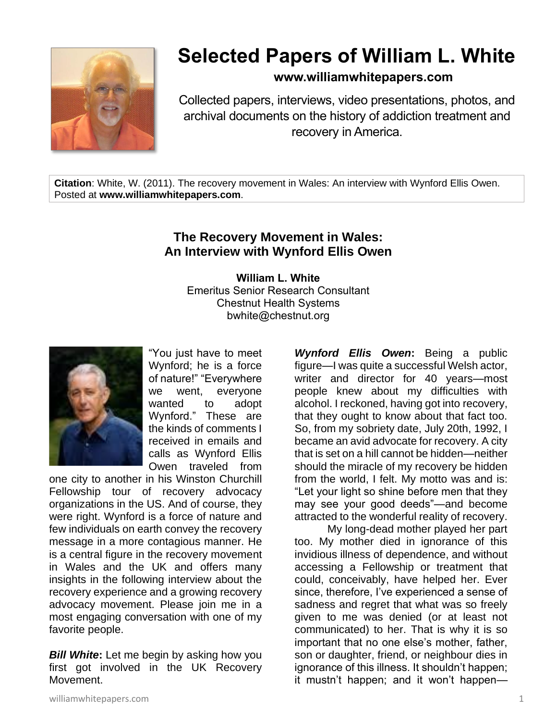

# **Selected Papers of William L. White**

## **www.williamwhitepapers.com**

Collected papers, interviews, video presentations, photos, and archival documents on the history of addiction treatment and recovery in America.

**Citation**: White, W. (2011). The recovery movement in Wales: An interview with Wynford Ellis Owen. Posted at **www.williamwhitepapers.com**.

### **The Recovery Movement in Wales: An Interview with Wynford Ellis Owen**

**William L. White** Emeritus Senior Research Consultant Chestnut Health Systems bwhite@chestnut.org



"You just have to meet Wynford; he is a force of nature!" "Everywhere we went, everyone wanted to adopt Wynford." These are the kinds of comments I received in emails and calls as Wynford Ellis Owen traveled from

one city to another in his Winston Churchill Fellowship tour of recovery advocacy organizations in the US. And of course, they were right. Wynford is a force of nature and few individuals on earth convey the recovery message in a more contagious manner. He is a central figure in the recovery movement in Wales and the UK and offers many insights in the following interview about the recovery experience and a growing recovery advocacy movement. Please join me in a most engaging conversation with one of my favorite people.

*Bill White***:** Let me begin by asking how you first got involved in the UK Recovery Movement.

*Wynford Ellis Owen***:** Being a public figure—I was quite a successful Welsh actor, writer and director for 40 years—most people knew about my difficulties with alcohol. I reckoned, having got into recovery, that they ought to know about that fact too. So, from my sobriety date, July 20th, 1992, I became an avid advocate for recovery. A city that is set on a hill cannot be hidden—neither should the miracle of my recovery be hidden from the world, I felt. My motto was and is: "Let your light so shine before men that they may see your good deeds"—and become attracted to the wonderful reality of recovery.

My long-dead mother played her part too. My mother died in ignorance of this invidious illness of dependence, and without accessing a Fellowship or treatment that could, conceivably, have helped her. Ever since, therefore, I've experienced a sense of sadness and regret that what was so freely given to me was denied (or at least not communicated) to her. That is why it is so important that no one else's mother, father, son or daughter, friend, or neighbour dies in ignorance of this illness. It shouldn't happen; it mustn't happen; and it won't happen—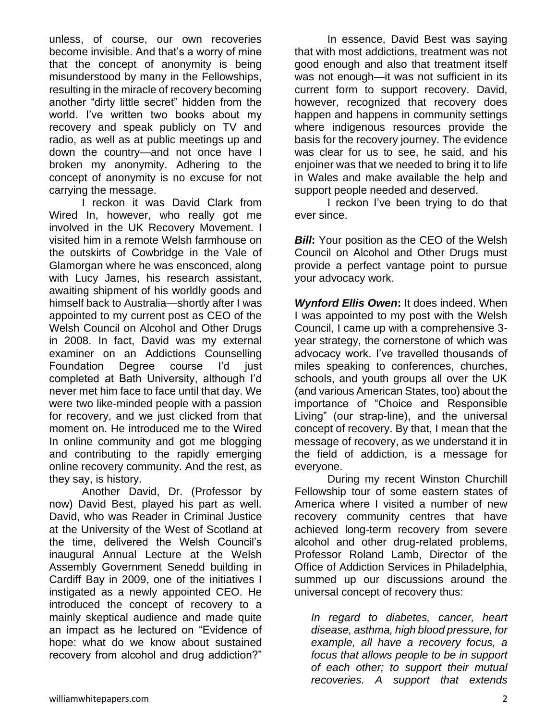unless, of course, our own recoveries become invisible. And that's a worry of mine that the concept of anonymity is being misunderstood by many in the Fellowships, resulting in the miracle of recovery becoming another "dirty little secret" hidden from the world. I've written two books about my recovery and speak publicly on TV and radio, as well as at public meetings up and down the country—and not once have I broken my anonymity. Adhering to the concept of anonymity is no excuse for not carrying the message.

I reckon it was David Clark from Wired In, however, who really got me involved in the UK Recovery Movement. I visited him in a remote Welsh farmhouse on the outskirts of Cowbridge in the Vale of Glamorgan where he was ensconced, along with Lucy James, his research assistant, awaiting shipment of his worldly goods and himself back to Australia—shortly after I was appointed to my current post as CEO of the Welsh Council on Alcohol and Other Drugs in 2008. In fact, David was my external examiner on an Addictions Counselling Foundation Degree course I'd just completed at Bath University, although I'd never met him face to face until that day. We were two like-minded people with a passion for recovery, and we just clicked from that moment on. He introduced me to the Wired In online community and got me blogging and contributing to the rapidly emerging online recovery community. And the rest, as they say, is history.

Another David, Dr. (Professor by now) David Best, played his part as well. David, who was Reader in Criminal Justice at the University of the West of Scotland at the time, delivered the Welsh Council's inaugural Annual Lecture at the Welsh Assembly Government Senedd building in Cardiff Bay in 2009, one of the initiatives I instigated as a newly appointed CEO. He introduced the concept of recovery to a mainly skeptical audience and made quite an impact as he lectured on "Evidence of hope: what do we know about sustained recovery from alcohol and drug addiction?"

In essence, David Best was saying that with most addictions, treatment was not good enough and also that treatment itself was not enough—it was not sufficient in its current form to support recovery. David, however, recognized that recovery does happen and happens in community settings where indigenous resources provide the basis for the recovery journey. The evidence was clear for us to see, he said, and his enjoiner was that we needed to bring it to life in Wales and make available the help and support people needed and deserved.

I reckon I've been trying to do that ever since.

**Bill:** Your position as the CEO of the Welsh Council on Alcohol and Other Drugs must provide a perfect vantage point to pursue your advocacy work.

*Wynford Ellis Owen***:** It does indeed. When I was appointed to my post with the Welsh Council, I came up with a comprehensive 3 year strategy, the cornerstone of which was advocacy work. I've travelled thousands of miles speaking to conferences, churches, schools, and youth groups all over the UK (and various American States, too) about the importance of "Choice and Responsible Living" (our strap-line), and the universal concept of recovery. By that, I mean that the message of recovery, as we understand it in the field of addiction, is a message for everyone.

During my recent Winston Churchill Fellowship tour of some eastern states of America where I visited a number of new recovery community centres that have achieved long-term recovery from severe alcohol and other drug-related problems, Professor Roland Lamb, Director of the Office of Addiction Services in Philadelphia, summed up our discussions around the universal concept of recovery thus:

*In regard to diabetes, cancer, heart disease, asthma, high blood pressure, for example, all have a recovery focus, a focus that allows people to be in support of each other; to support their mutual recoveries. A support that extends*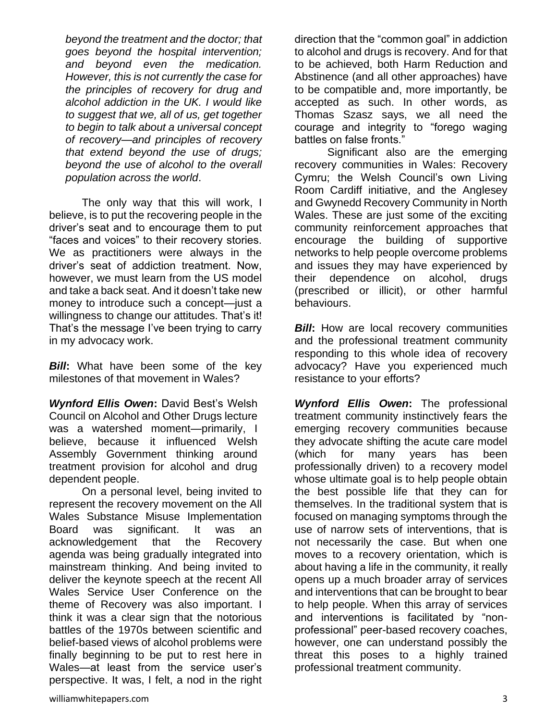*beyond the treatment and the doctor; that goes beyond the hospital intervention; and beyond even the medication. However, this is not currently the case for the principles of recovery for drug and alcohol addiction in the UK. I would like to suggest that we, all of us, get together to begin to talk about a universal concept of recovery—and principles of recovery that extend beyond the use of drugs; beyond the use of alcohol to the overall population across the world*.

The only way that this will work, I believe, is to put the recovering people in the driver's seat and to encourage them to put "faces and voices" to their recovery stories. We as practitioners were always in the driver's seat of addiction treatment. Now, however, we must learn from the US model and take a back seat. And it doesn't take new money to introduce such a concept—just a willingness to change our attitudes. That's it! That's the message I've been trying to carry in my advocacy work.

*Bill***:** What have been some of the key milestones of that movement in Wales?

*Wynford Ellis Owen***:** David Best's Welsh Council on Alcohol and Other Drugs lecture was a watershed moment—primarily, I believe, because it influenced Welsh Assembly Government thinking around treatment provision for alcohol and drug dependent people.

On a personal level, being invited to represent the recovery movement on the All Wales Substance Misuse Implementation Board was significant. It was an acknowledgement that the Recovery agenda was being gradually integrated into mainstream thinking. And being invited to deliver the keynote speech at the recent All Wales Service User Conference on the theme of Recovery was also important. I think it was a clear sign that the notorious battles of the 1970s between scientific and belief-based views of alcohol problems were finally beginning to be put to rest here in Wales—at least from the service user's perspective. It was, I felt, a nod in the right direction that the "common goal" in addiction to alcohol and drugs is recovery. And for that to be achieved, both Harm Reduction and Abstinence (and all other approaches) have to be compatible and, more importantly, be accepted as such. In other words, as Thomas Szasz says, we all need the courage and integrity to "forego waging battles on false fronts."

Significant also are the emerging recovery communities in Wales: Recovery Cymru; the Welsh Council's own Living Room Cardiff initiative, and the Anglesey and Gwynedd Recovery Community in North Wales. These are just some of the exciting community reinforcement approaches that encourage the building of supportive networks to help people overcome problems and issues they may have experienced by their dependence on alcohol, drugs (prescribed or illicit), or other harmful behaviours.

*Bill*: How are local recovery communities and the professional treatment community responding to this whole idea of recovery advocacy? Have you experienced much resistance to your efforts?

*Wynford Ellis Owen***:** The professional treatment community instinctively fears the emerging recovery communities because they advocate shifting the acute care model (which for many years has been professionally driven) to a recovery model whose ultimate goal is to help people obtain the best possible life that they can for themselves. In the traditional system that is focused on managing symptoms through the use of narrow sets of interventions, that is not necessarily the case. But when one moves to a recovery orientation, which is about having a life in the community, it really opens up a much broader array of services and interventions that can be brought to bear to help people. When this array of services and interventions is facilitated by "nonprofessional" peer-based recovery coaches, however, one can understand possibly the threat this poses to a highly trained professional treatment community.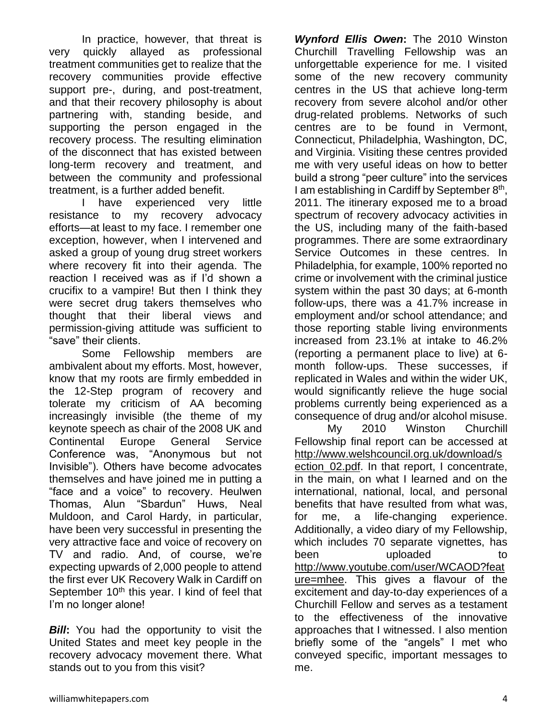In practice, however, that threat is very quickly allayed as professional treatment communities get to realize that the recovery communities provide effective support pre-, during, and post-treatment, and that their recovery philosophy is about partnering with, standing beside, and supporting the person engaged in the recovery process. The resulting elimination of the disconnect that has existed between long-term recovery and treatment, and between the community and professional treatment, is a further added benefit.

I have experienced very little resistance to my recovery advocacy efforts—at least to my face. I remember one exception, however, when I intervened and asked a group of young drug street workers where recovery fit into their agenda. The reaction I received was as if I'd shown a crucifix to a vampire! But then I think they were secret drug takers themselves who thought that their liberal views and permission-giving attitude was sufficient to "save" their clients.

Some Fellowship members are ambivalent about my efforts. Most, however, know that my roots are firmly embedded in the 12-Step program of recovery and tolerate my criticism of AA becoming increasingly invisible (the theme of my keynote speech as chair of the 2008 UK and Continental Europe General Service Conference was, "Anonymous but not Invisible"). Others have become advocates themselves and have joined me in putting a "face and a voice" to recovery. Heulwen Thomas, Alun "Sbardun" Huws, Neal Muldoon, and Carol Hardy, in particular, have been very successful in presenting the very attractive face and voice of recovery on TV and radio. And, of course, we're expecting upwards of 2,000 people to attend the first ever UK Recovery Walk in Cardiff on September  $10<sup>th</sup>$  this year. I kind of feel that I'm no longer alone!

*Bill***:** You had the opportunity to visit the United States and meet key people in the recovery advocacy movement there. What stands out to you from this visit?

*Wynford Ellis Owen***:** The 2010 Winston Churchill Travelling Fellowship was an unforgettable experience for me. I visited some of the new recovery community centres in the US that achieve long-term recovery from severe alcohol and/or other drug-related problems. Networks of such centres are to be found in Vermont, Connecticut, Philadelphia, Washington, DC, and Virginia. Visiting these centres provided me with very useful ideas on how to better build a strong "peer culture" into the services I am establishing in Cardiff by September 8<sup>th</sup>, 2011. The itinerary exposed me to a broad spectrum of recovery advocacy activities in the US, including many of the faith-based programmes. There are some extraordinary Service Outcomes in these centres. In Philadelphia, for example, 100% reported no crime or involvement with the criminal justice system within the past 30 days; at 6-month follow-ups, there was a 41.7% increase in employment and/or school attendance; and those reporting stable living environments increased from 23.1% at intake to 46.2% (reporting a permanent place to live) at 6 month follow-ups. These successes, if replicated in Wales and within the wider UK, would significantly relieve the huge social problems currently being experienced as a consequence of drug and/or alcohol misuse.

My 2010 Winston Churchill Fellowship final report can be accessed at [http://www.welshcouncil.org.uk/download/s](http://www.welshcouncil.org.uk/download/section_02.pdf) [ection\\_02.pdf.](http://www.welshcouncil.org.uk/download/section_02.pdf) In that report, I concentrate, in the main, on what I learned and on the international, national, local, and personal benefits that have resulted from what was, for me, a life-changing experience. Additionally, a video diary of my Fellowship, which includes 70 separate vignettes, has been uploaded to [http://www.youtube.com/user/WCAOD?feat](http://www.youtube.com/user/WCAOD?feature=mhee) [ure=mhee.](http://www.youtube.com/user/WCAOD?feature=mhee) This gives a flavour of the excitement and day-to-day experiences of a Churchill Fellow and serves as a testament to the effectiveness of the innovative approaches that I witnessed. I also mention briefly some of the "angels" I met who conveyed specific, important messages to me.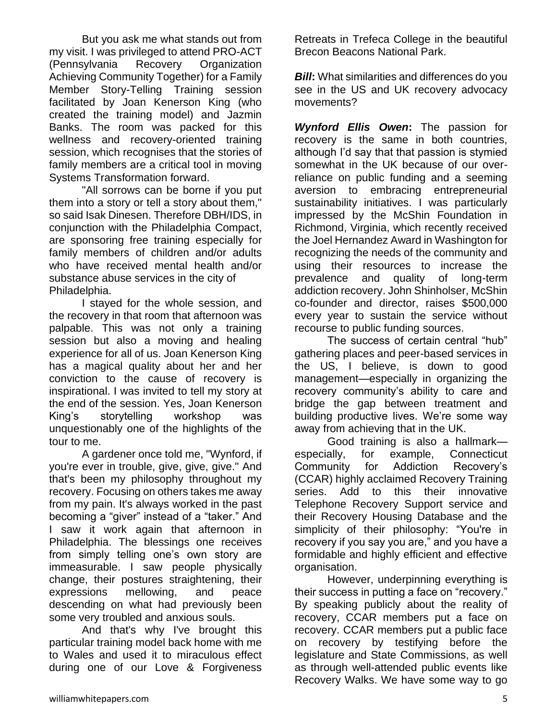But you ask me what stands out from my visit. I was privileged to attend PRO-ACT (Pennsylvania Recovery Organization Achieving Community Together) for a Family Member Story-Telling Training session facilitated by Joan Kenerson King (who created the training model) and Jazmin Banks. The room was packed for this wellness and recovery-oriented training session, which recognises that the stories of family members are a critical tool in moving Systems Transformation forward.

"All sorrows can be borne if you put them into a story or tell a story about them," so said Isak Dinesen. Therefore DBH/IDS, in conjunction with the Philadelphia Compact, are sponsoring free training especially for family members of children and/or adults who have received mental health and/or substance abuse services in the city of Philadelphia.

I stayed for the whole session, and the recovery in that room that afternoon was palpable. This was not only a training session but also a moving and healing experience for all of us. Joan Kenerson King has a magical quality about her and her conviction to the cause of recovery is inspirational. I was invited to tell my story at the end of the session. Yes, Joan Kenerson King's storytelling workshop was unquestionably one of the highlights of the tour to me.

A gardener once told me, "Wynford, if you're ever in trouble, give, give, give." And that's been my philosophy throughout my recovery. Focusing on others takes me away from my pain. It's always worked in the past becoming a "giver" instead of a "taker." And I saw it work again that afternoon in Philadelphia. The blessings one receives from simply telling one's own story are immeasurable. I saw people physically change, their postures straightening, their expressions mellowing, and peace descending on what had previously been some very troubled and anxious souls.

And that's why I've brought this particular training model back home with me to Wales and used it to miraculous effect during one of our Love & Forgiveness

Retreats in Trefeca College in the beautiful Brecon Beacons National Park.

*Bill*: What similarities and differences do you see in the US and UK recovery advocacy movements?

*Wynford Ellis Owen***:** The passion for recovery is the same in both countries, although I'd say that that passion is stymied somewhat in the UK because of our overreliance on public funding and a seeming aversion to embracing entrepreneurial sustainability initiatives. I was particularly impressed by the McShin Foundation in Richmond, Virginia, which recently received the Joel Hernandez Award in Washington for recognizing the needs of the community and using their resources to increase the prevalence and quality of long-term addiction recovery. John Shinholser, McShin co-founder and director, raises \$500,000 every year to sustain the service without recourse to public funding sources.

The success of certain central "hub" gathering places and peer-based services in the US, I believe, is down to good management—especially in organizing the recovery community's ability to care and bridge the gap between treatment and building productive lives. We're some way away from achieving that in the UK.

Good training is also a hallmark especially, for example, Connecticut Community for Addiction Recovery's (CCAR) highly acclaimed Recovery Training series. Add to this their innovative Telephone Recovery Support service and their Recovery Housing Database and the simplicity of their philosophy: "You're in recovery if you say you are," and you have a formidable and highly efficient and effective organisation.

However, underpinning everything is their success in putting a face on "recovery." By speaking publicly about the reality of recovery, CCAR members put a face on recovery. CCAR members put a public face on recovery by testifying before the legislature and State Commissions, as well as through well-attended public events like Recovery Walks. We have some way to go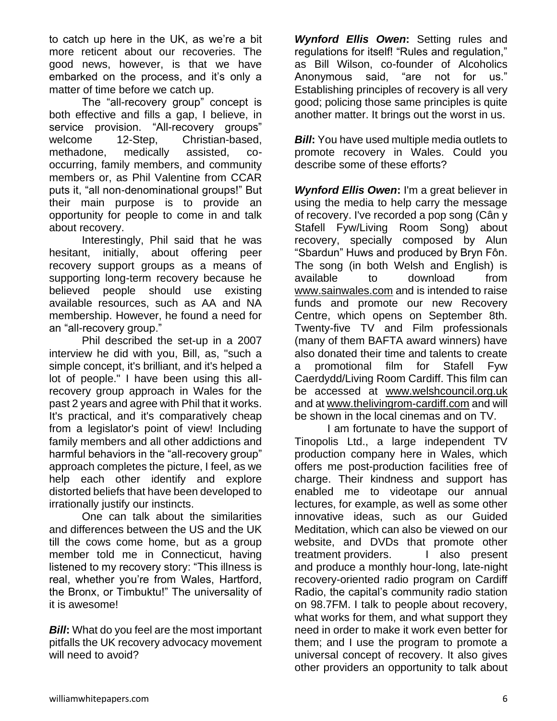to catch up here in the UK, as we're a bit more reticent about our recoveries. The good news, however, is that we have embarked on the process, and it's only a matter of time before we catch up.

The "all-recovery group" concept is both effective and fills a gap, I believe, in service provision. "All-recovery groups" welcome 12-Step, Christian-based, methadone, medically assisted, cooccurring, family members, and community members or, as Phil Valentine from CCAR puts it, "all non-denominational groups!" But their main purpose is to provide an opportunity for people to come in and talk about recovery.

Interestingly, Phil said that he was hesitant, initially, about offering peer recovery support groups as a means of supporting long-term recovery because he believed people should use existing available resources, such as AA and NA membership. However, he found a need for an "all-recovery group."

Phil described the set-up in a 2007 interview he did with you, Bill, as, "such a simple concept, it's brilliant, and it's helped a lot of people." I have been using this allrecovery group approach in Wales for the past 2 years and agree with Phil that it works. It's practical, and it's comparatively cheap from a legislator's point of view! Including family members and all other addictions and harmful behaviors in the "all-recovery group" approach completes the picture, I feel, as we help each other identify and explore distorted beliefs that have been developed to irrationally justify our instincts.

One can talk about the similarities and differences between the US and the UK till the cows come home, but as a group member told me in Connecticut, having listened to my recovery story: "This illness is real, whether you're from Wales, Hartford, the Bronx, or Timbuktu!" The universality of it is awesome!

*Bill*: What do you feel are the most important pitfalls the UK recovery advocacy movement will need to avoid?

*Wynford Ellis Owen***:** Setting rules and regulations for itself! "Rules and regulation," as Bill Wilson, co-founder of Alcoholics Anonymous said, "are not for us." Establishing principles of recovery is all very good; policing those same principles is quite another matter. It brings out the worst in us.

*Bill*: You have used multiple media outlets to promote recovery in Wales. Could you describe some of these efforts?

*Wynford Ellis Owen***:** I'm a great believer in using the media to help carry the message of recovery. I've recorded a pop song (Cân y Stafell Fyw/Living Room Song) about recovery, specially composed by Alun "Sbardun" Huws and produced by Bryn Fôn. The song (in both Welsh and English) is available to download from [www.sainwales.com](http://www.sainwales.com/) and is intended to raise funds and promote our new Recovery Centre, which opens on September 8th. Twenty-five TV and Film professionals (many of them BAFTA award winners) have also donated their time and talents to create a promotional film for Stafell Fyw Caerdydd/Living Room Cardiff. This film can be accessed at [www.welshcouncil.org.uk](http://www.welshcouncil.org.uk/) and at [www.thelivingrom-cardiff.com](http://www.thelivingrom-cardiff.com/) and will be shown in the local cinemas and on TV.

I am fortunate to have the support of Tinopolis Ltd., a large independent TV production company here in Wales, which offers me post-production facilities free of charge. Their kindness and support has enabled me to videotape our annual lectures, for example, as well as some other innovative ideas, such as our Guided Meditation, which can also be viewed on our website, and DVDs that promote other treatment providers. I also present and produce a monthly hour-long, late-night recovery-oriented radio program on Cardiff Radio, the capital's community radio station on 98.7FM. I talk to people about recovery, what works for them, and what support they need in order to make it work even better for them; and I use the program to promote a universal concept of recovery. It also gives other providers an opportunity to talk about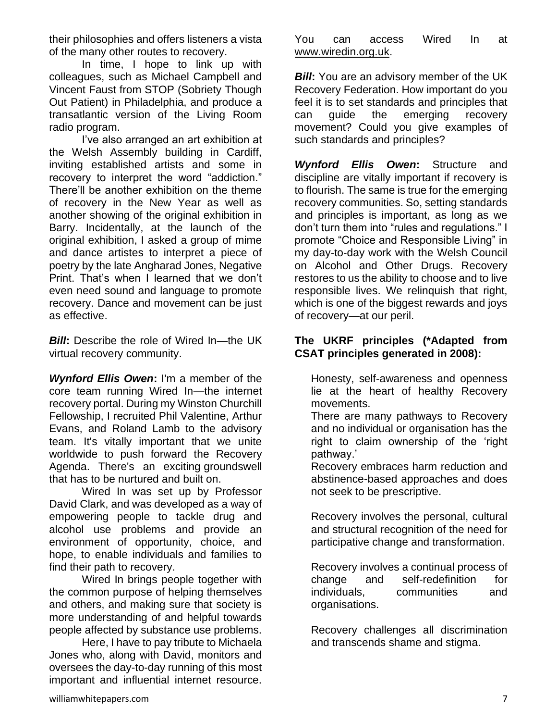their philosophies and offers listeners a vista of the many other routes to recovery.

In time, I hope to link up with colleagues, such as Michael Campbell and Vincent Faust from STOP (Sobriety Though Out Patient) in Philadelphia, and produce a transatlantic version of the Living Room radio program.

I've also arranged an art exhibition at the Welsh Assembly building in Cardiff, inviting established artists and some in recovery to interpret the word "addiction." There'll be another exhibition on the theme of recovery in the New Year as well as another showing of the original exhibition in Barry. Incidentally, at the launch of the original exhibition, I asked a group of mime and dance artistes to interpret a piece of poetry by the late Angharad Jones, Negative Print. That's when I learned that we don't even need sound and language to promote recovery. Dance and movement can be just as effective.

*Bill***:** Describe the role of Wired In—the UK virtual recovery community.

*Wynford Ellis Owen***:** I'm a member of the core team running Wired In—the internet recovery portal. During my Winston Churchill Fellowship, I recruited Phil Valentine, Arthur Evans, and Roland Lamb to the advisory team. It's vitally important that we unite worldwide to push forward the Recovery Agenda. There's an exciting groundswell that has to be nurtured and built on.

Wired In was set up by Professor David Clark, and was developed as a way of empowering people to tackle drug and alcohol use problems and provide an environment of opportunity, choice, and hope, to enable individuals and families to find their path to recovery.

Wired In brings people together with the common purpose of helping themselves and others, and making sure that society is more understanding of and helpful towards people affected by substance use problems.

Here, I have to pay tribute to Michaela Jones who, along with David, monitors and oversees the day-to-day running of this most important and influential internet resource.

You can access Wired In at [www.wiredin.org.uk.](http://www.wiredin.org.uk/)

*Bill***:** You are an advisory member of the UK Recovery Federation. How important do you feel it is to set standards and principles that can guide the emerging recovery movement? Could you give examples of such standards and principles?

*Wynford Ellis Owen***:** Structure and discipline are vitally important if recovery is to flourish. The same is true for the emerging recovery communities. So, setting standards and principles is important, as long as we don't turn them into "rules and regulations." I promote "Choice and Responsible Living" in my day-to-day work with the Welsh Council on Alcohol and Other Drugs. Recovery restores to us the ability to choose and to live responsible lives. We relinquish that right, which is one of the biggest rewards and joys of recovery—at our peril.

#### **The UKRF principles (\*Adapted from CSAT principles generated in 2008):**

Honesty, self-awareness and openness lie at the heart of healthy Recovery movements.

There are many pathways to Recovery and no individual or organisation has the right to claim ownership of the 'right pathway.'

Recovery embraces harm reduction and abstinence-based approaches and does not seek to be prescriptive.

Recovery involves the personal, cultural and structural recognition of the need for participative change and transformation.

Recovery involves a continual process of change and self-redefinition for individuals, communities and organisations.

Recovery challenges all discrimination and transcends shame and stigma.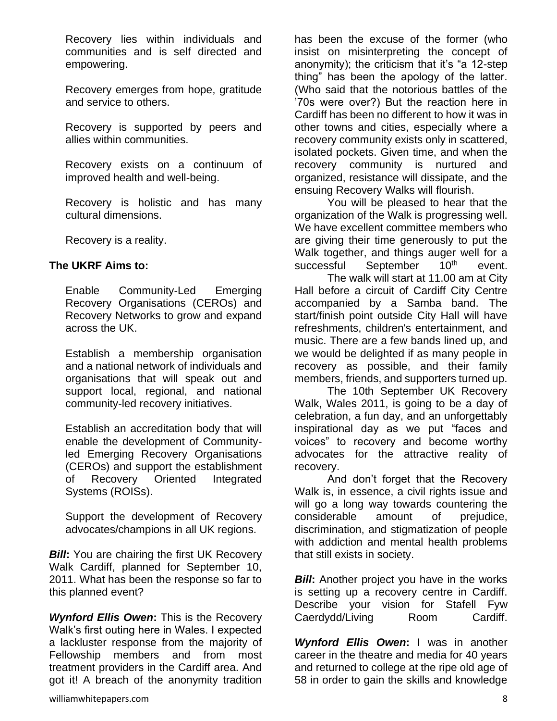Recovery lies within individuals and communities and is self directed and empowering.

Recovery emerges from hope, gratitude and service to others.

Recovery is supported by peers and allies within communities.

Recovery exists on a continuum of improved health and well-being.

Recovery is holistic and has many cultural dimensions.

Recovery is a reality.

#### **The UKRF Aims to:**

Enable Community-Led Emerging Recovery Organisations (CEROs) and Recovery Networks to grow and expand across the UK.

Establish a membership organisation and a national network of individuals and organisations that will speak out and support local, regional, and national community-led recovery initiatives.

Establish an accreditation body that will enable the development of Communityled Emerging Recovery Organisations (CEROs) and support the establishment of Recovery Oriented Integrated Systems (ROISs).

Support the development of Recovery advocates/champions in all UK regions.

*Bill***:** You are chairing the first UK Recovery Walk Cardiff, planned for September 10, 2011. What has been the response so far to this planned event?

*Wynford Ellis Owen***:** This is the Recovery Walk's first outing here in Wales. I expected a lackluster response from the majority of Fellowship members and from most treatment providers in the Cardiff area. And got it! A breach of the anonymity tradition has been the excuse of the former (who insist on misinterpreting the concept of anonymity); the criticism that it's "a 12-step thing" has been the apology of the latter. (Who said that the notorious battles of the '70s were over?) But the reaction here in Cardiff has been no different to how it was in other towns and cities, especially where a recovery community exists only in scattered, isolated pockets. Given time, and when the recovery community is nurtured and organized, resistance will dissipate, and the ensuing Recovery Walks will flourish.

You will be pleased to hear that the organization of the Walk is progressing well. We have excellent committee members who are giving their time generously to put the Walk together, and things auger well for a successful September 10<sup>th</sup> event.

The walk will start at 11.00 am at City Hall before a circuit of Cardiff City Centre accompanied by a Samba band. The start/finish point outside City Hall will have refreshments, children's entertainment, and music. There are a few bands lined up, and we would be delighted if as many people in recovery as possible, and their family members, friends, and supporters turned up.

The 10th September UK Recovery Walk, Wales 2011, is going to be a day of celebration, a fun day, and an unforgettably inspirational day as we put "faces and voices" to recovery and become worthy advocates for the attractive reality of recovery.

And don't forget that the Recovery Walk is, in essence, a civil rights issue and will go a long way towards countering the considerable amount of prejudice, discrimination, and stigmatization of people with addiction and mental health problems that still exists in society.

*Bill***:** Another project you have in the works is setting up a recovery centre in Cardiff. Describe your vision for Stafell Fyw Caerdydd/Living Room Cardiff.

*Wynford Ellis Owen***:** I was in another career in the theatre and media for 40 years and returned to college at the ripe old age of 58 in order to gain the skills and knowledge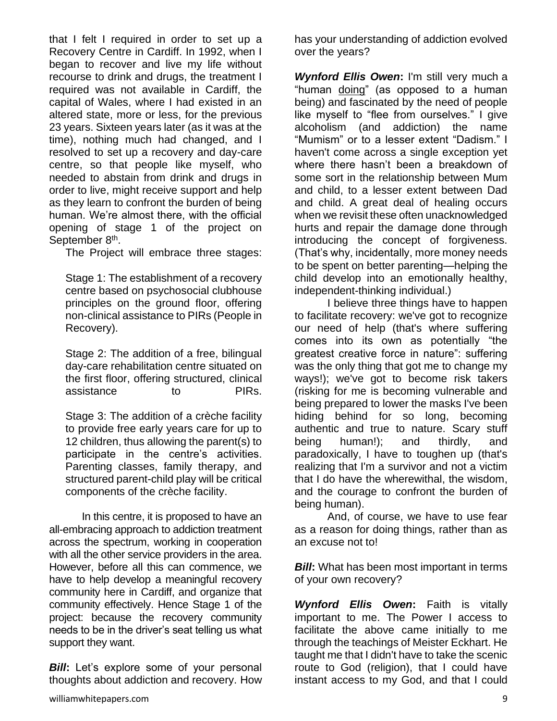that I felt I required in order to set up a Recovery Centre in Cardiff. In 1992, when I began to recover and live my life without recourse to drink and drugs, the treatment I required was not available in Cardiff, the capital of Wales, where I had existed in an altered state, more or less, for the previous 23 years. Sixteen years later (as it was at the time), nothing much had changed, and I resolved to set up a recovery and day-care centre, so that people like myself, who needed to abstain from drink and drugs in order to live, might receive support and help as they learn to confront the burden of being human. We're almost there, with the official opening of stage 1 of the project on September 8<sup>th</sup>.

The Project will embrace three stages:

Stage 1: The establishment of a recovery centre based on psychosocial clubhouse principles on the ground floor, offering non-clinical assistance to PIRs (People in Recovery).

Stage 2: The addition of a free, bilingual day-care rehabilitation centre situated on the first floor, offering structured, clinical assistance to PIRs.

Stage 3: The addition of a crèche facility to provide free early years care for up to 12 children, thus allowing the parent(s) to participate in the centre's activities. Parenting classes, family therapy, and structured parent-child play will be critical components of the crèche facility.

In this centre, it is proposed to have an all-embracing approach to addiction treatment across the spectrum, working in cooperation with all the other service providers in the area. However, before all this can commence, we have to help develop a meaningful recovery community here in Cardiff, and organize that community effectively. Hence Stage 1 of the project: because the recovery community needs to be in the driver's seat telling us what support they want.

**Bill:** Let's explore some of your personal thoughts about addiction and recovery. How has your understanding of addiction evolved over the years?

*Wynford Ellis Owen***:** I'm still very much a "human doing" (as opposed to a human being) and fascinated by the need of people like myself to "flee from ourselves." I give alcoholism (and addiction) the name "Mumism" or to a lesser extent "Dadism." I haven't come across a single exception yet where there hasn't been a breakdown of some sort in the relationship between Mum and child, to a lesser extent between Dad and child. A great deal of healing occurs when we revisit these often unacknowledged hurts and repair the damage done through introducing the concept of forgiveness. (That's why, incidentally, more money needs to be spent on better parenting—helping the child develop into an emotionally healthy, independent-thinking individual.)

I believe three things have to happen to facilitate recovery: we've got to recognize our need of help (that's where suffering comes into its own as potentially "the greatest creative force in nature": suffering was the only thing that got me to change my ways!); we've got to become risk takers (risking for me is becoming vulnerable and being prepared to lower the masks I've been hiding behind for so long, becoming authentic and true to nature. Scary stuff being human!); and thirdly, and paradoxically, I have to toughen up (that's realizing that I'm a survivor and not a victim that I do have the wherewithal, the wisdom, and the courage to confront the burden of being human).

And, of course, we have to use fear as a reason for doing things, rather than as an excuse not to!

*Bill*: What has been most important in terms of your own recovery?

*Wynford Ellis Owen***:** Faith is vitally important to me. The Power I access to facilitate the above came initially to me through the teachings of Meister Eckhart. He taught me that I didn't have to take the scenic route to God (religion), that I could have instant access to my God, and that I could